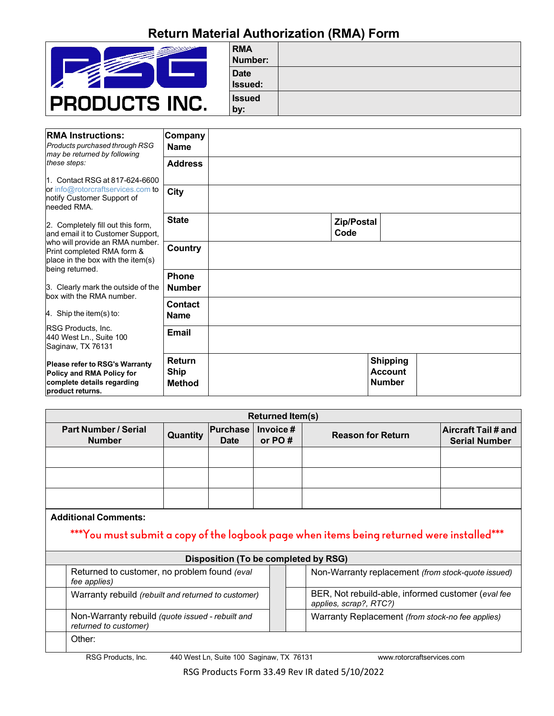## **Return Material Authorization (RMA) Form**



| <b>RMA</b><br>Number:  |  |
|------------------------|--|
| <b>Date</b><br>Issued: |  |
| <b>Issued</b><br>by:   |  |

| <b>RMA Instructions:</b><br><b>Products purchased through RSG</b><br>may be returned by following                    | Company<br><b>Name</b>                 |                                                    |
|----------------------------------------------------------------------------------------------------------------------|----------------------------------------|----------------------------------------------------|
| these steps:                                                                                                         | <b>Address</b>                         |                                                    |
| 11. Contact RSG at 817-624-6600                                                                                      |                                        |                                                    |
| or info@rotorcraftservices.com to<br>notify Customer Support of<br>needed RMA.                                       | <b>City</b>                            |                                                    |
| 2. Completely fill out this form,<br>and email it to Customer Support,                                               | <b>State</b>                           | Zip/Postal<br>Code                                 |
| who will provide an RMA number.<br>Print completed RMA form &<br>place in the box with the item(s)                   | <b>Country</b>                         |                                                    |
| being returned.                                                                                                      | <b>Phone</b>                           |                                                    |
| 3. Clearly mark the outside of the<br>box with the RMA number.                                                       | <b>Number</b>                          |                                                    |
|                                                                                                                      | <b>Contact</b>                         |                                                    |
| 4. Ship the item(s) to:                                                                                              | <b>Name</b>                            |                                                    |
| RSG Products, Inc.<br>440 West Ln., Suite 100<br>Saginaw, TX 76131                                                   | <b>Email</b>                           |                                                    |
| <b>Please refer to RSG's Warranty</b><br>Policy and RMA Policy for<br>complete details regarding<br>product returns. | Return<br><b>Ship</b><br><b>Method</b> | <b>Shipping</b><br><b>Account</b><br><b>Number</b> |

| <b>Returned Item(s)</b>                      |          |                         |                    |                          |                                                    |  |  |
|----------------------------------------------|----------|-------------------------|--------------------|--------------------------|----------------------------------------------------|--|--|
| <b>Part Number / Serial</b><br><b>Number</b> | Quantity | Purchase<br><b>Date</b> | Invoice#<br>or PO# | <b>Reason for Return</b> | <b>Aircraft Tail # and</b><br><b>Serial Number</b> |  |  |
|                                              |          |                         |                    |                          |                                                    |  |  |
|                                              |          |                         |                    |                          |                                                    |  |  |
|                                              |          |                         |                    |                          |                                                    |  |  |

### **Additional Comments:**

# \*\*\*You must submit a copy of the logbook page when items being returned were installed\*\*\*

| Disposition (To be completed by RSG) |                                                                           |  |  |                                                                              |  |  |
|--------------------------------------|---------------------------------------------------------------------------|--|--|------------------------------------------------------------------------------|--|--|
|                                      | Returned to customer, no problem found (eval)<br>fee applies)             |  |  | Non-Warranty replacement (from stock-quote issued)                           |  |  |
|                                      | Warranty rebuild (rebuilt and returned to customer)                       |  |  | BER, Not rebuild-able, informed customer (eval fee<br>applies, scrap?, RTC?) |  |  |
|                                      | Non-Warranty rebuild (quote issued - rebuilt and<br>returned to customer) |  |  | Warranty Replacement (from stock-no fee applies)                             |  |  |
|                                      | Other:                                                                    |  |  |                                                                              |  |  |